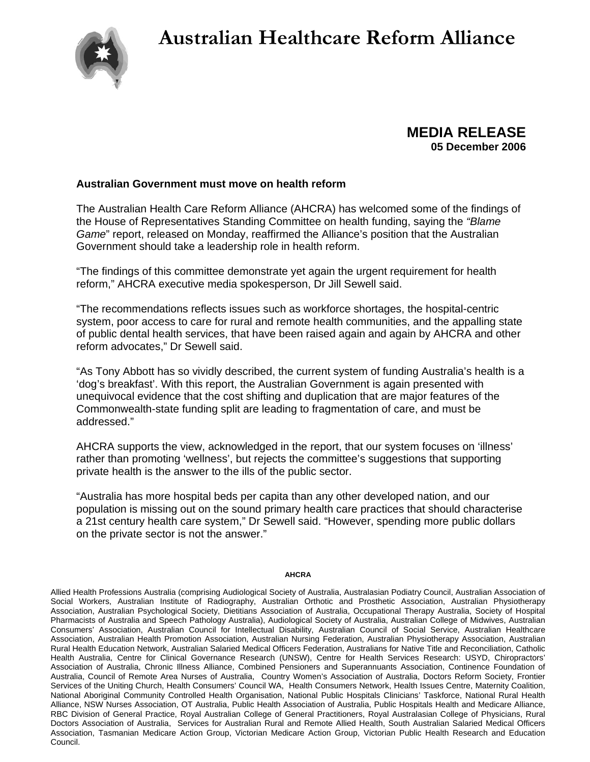## **Australian Healthcare Reform Alliance**



**MEDIA RELEASE 05 December 2006** 

## **Australian Government must move on health reform**

The Australian Health Care Reform Alliance (AHCRA) has welcomed some of the findings of the House of Representatives Standing Committee on health funding, saying the *"Blame Game*" report, released on Monday, reaffirmed the Alliance's position that the Australian Government should take a leadership role in health reform.

"The findings of this committee demonstrate yet again the urgent requirement for health reform," AHCRA executive media spokesperson, Dr Jill Sewell said.

"The recommendations reflects issues such as workforce shortages, the hospital-centric system, poor access to care for rural and remote health communities, and the appalling state of public dental health services, that have been raised again and again by AHCRA and other reform advocates," Dr Sewell said.

"As Tony Abbott has so vividly described, the current system of funding Australia's health is a 'dog's breakfast'. With this report, the Australian Government is again presented with unequivocal evidence that the cost shifting and duplication that are major features of the Commonwealth-state funding split are leading to fragmentation of care, and must be addressed."

AHCRA supports the view, acknowledged in the report, that our system focuses on 'illness' rather than promoting 'wellness', but rejects the committee's suggestions that supporting private health is the answer to the ills of the public sector.

"Australia has more hospital beds per capita than any other developed nation, and our population is missing out on the sound primary health care practices that should characterise a 21st century health care system," Dr Sewell said. "However, spending more public dollars on the private sector is not the answer."

## **AHCRA**

Allied Health Professions Australia (comprising Audiological Society of Australia, Australasian Podiatry Council, Australian Association of Social Workers, Australian Institute of Radiography, Australian Orthotic and Prosthetic Association, Australian Physiotherapy Association, Australian Psychological Society, Dietitians Association of Australia, Occupational Therapy Australia, Society of Hospital Pharmacists of Australia and Speech Pathology Australia), Audiological Society of Australia, Australian College of Midwives, Australian Consumers' Association, Australian Council for Intellectual Disability, Australian Council of Social Service, Australian Healthcare Association, Australian Health Promotion Association, Australian Nursing Federation, Australian Physiotherapy Association, Australian Rural Health Education Network, Australian Salaried Medical Officers Federation, Australians for Native Title and Reconciliation, Catholic Health Australia, Centre for Clinical Governance Research (UNSW), Centre for Health Services Research: USYD, Chiropractors' Association of Australia, Chronic Illness Alliance, Combined Pensioners and Superannuants Association, Continence Foundation of Australia, Council of Remote Area Nurses of Australia, Country Women's Association of Australia, Doctors Reform Society, Frontier Services of the Uniting Church, Health Consumers' Council WA, Health Consumers Network, Health Issues Centre, Maternity Coalition, National Aboriginal Community Controlled Health Organisation, National Public Hospitals Clinicians' Taskforce, National Rural Health Alliance, NSW Nurses Association, OT Australia, Public Health Association of Australia, Public Hospitals Health and Medicare Alliance, RBC Division of General Practice, Royal Australian College of General Practitioners, Royal Australasian College of Physicians, Rural Doctors Association of Australia, Services for Australian Rural and Remote Allied Health, South Australian Salaried Medical Officers Association, Tasmanian Medicare Action Group, Victorian Medicare Action Group, Victorian Public Health Research and Education Council.